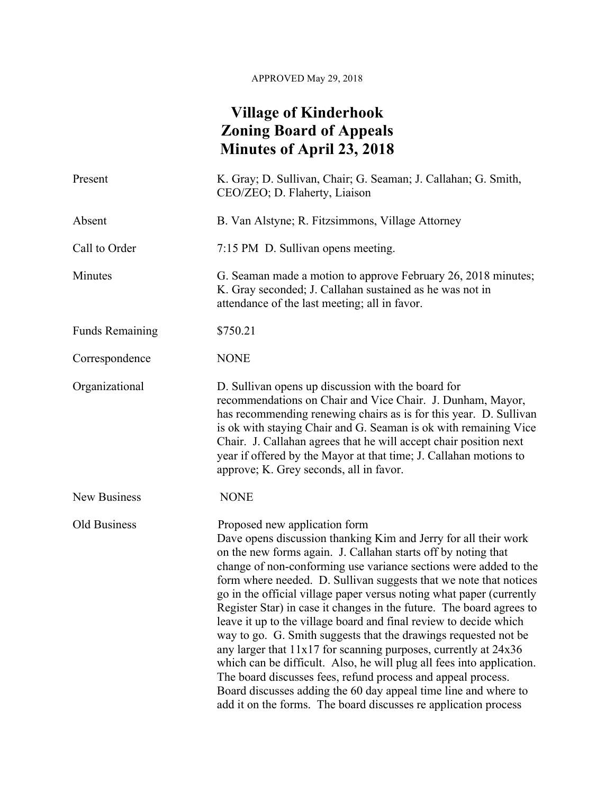## APPROVED May 29, 2018

## **Village of Kinderhook Zoning Board of Appeals Minutes of April 23, 2018**

| Present                | K. Gray; D. Sullivan, Chair; G. Seaman; J. Callahan; G. Smith,<br>CEO/ZEO; D. Flaherty, Liaison                                                                                                                                                                                                                                                                                                                                                                                                                                                                                                                                                                                                                                                                                                                                                                                                                                                      |
|------------------------|------------------------------------------------------------------------------------------------------------------------------------------------------------------------------------------------------------------------------------------------------------------------------------------------------------------------------------------------------------------------------------------------------------------------------------------------------------------------------------------------------------------------------------------------------------------------------------------------------------------------------------------------------------------------------------------------------------------------------------------------------------------------------------------------------------------------------------------------------------------------------------------------------------------------------------------------------|
| Absent                 | B. Van Alstyne; R. Fitzsimmons, Village Attorney                                                                                                                                                                                                                                                                                                                                                                                                                                                                                                                                                                                                                                                                                                                                                                                                                                                                                                     |
| Call to Order          | 7:15 PM D. Sullivan opens meeting.                                                                                                                                                                                                                                                                                                                                                                                                                                                                                                                                                                                                                                                                                                                                                                                                                                                                                                                   |
| Minutes                | G. Seaman made a motion to approve February 26, 2018 minutes;<br>K. Gray seconded; J. Callahan sustained as he was not in<br>attendance of the last meeting; all in favor.                                                                                                                                                                                                                                                                                                                                                                                                                                                                                                                                                                                                                                                                                                                                                                           |
| <b>Funds Remaining</b> | \$750.21                                                                                                                                                                                                                                                                                                                                                                                                                                                                                                                                                                                                                                                                                                                                                                                                                                                                                                                                             |
| Correspondence         | <b>NONE</b>                                                                                                                                                                                                                                                                                                                                                                                                                                                                                                                                                                                                                                                                                                                                                                                                                                                                                                                                          |
| Organizational         | D. Sullivan opens up discussion with the board for<br>recommendations on Chair and Vice Chair. J. Dunham, Mayor,<br>has recommending renewing chairs as is for this year. D. Sullivan<br>is ok with staying Chair and G. Seaman is ok with remaining Vice<br>Chair. J. Callahan agrees that he will accept chair position next<br>year if offered by the Mayor at that time; J. Callahan motions to<br>approve; K. Grey seconds, all in favor.                                                                                                                                                                                                                                                                                                                                                                                                                                                                                                       |
| New Business           | <b>NONE</b>                                                                                                                                                                                                                                                                                                                                                                                                                                                                                                                                                                                                                                                                                                                                                                                                                                                                                                                                          |
| Old Business           | Proposed new application form<br>Dave opens discussion thanking Kim and Jerry for all their work<br>on the new forms again. J. Callahan starts off by noting that<br>change of non-conforming use variance sections were added to the<br>form where needed. D. Sullivan suggests that we note that notices<br>go in the official village paper versus noting what paper (currently<br>Register Star) in case it changes in the future. The board agrees to<br>leave it up to the village board and final review to decide which<br>way to go. G. Smith suggests that the drawings requested not be<br>any larger that 11x17 for scanning purposes, currently at 24x36<br>which can be difficult. Also, he will plug all fees into application.<br>The board discusses fees, refund process and appeal process.<br>Board discusses adding the 60 day appeal time line and where to<br>add it on the forms. The board discusses re application process |